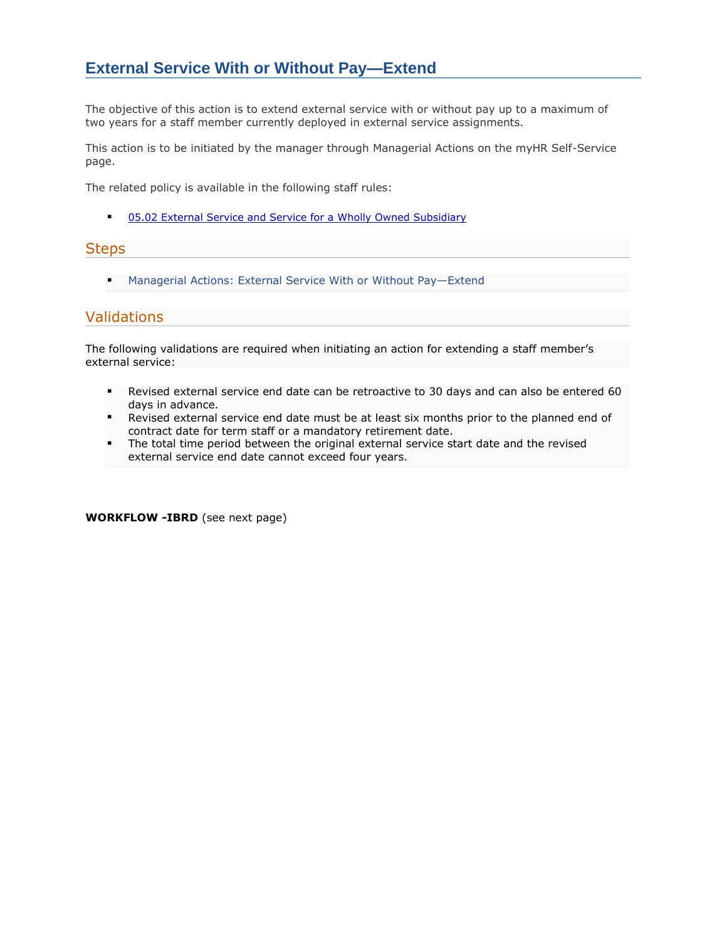## **External Service With or Without Pay—Extend**

The objective of this action is to extend external service with or without pay up to a maximum of two years for a staff member currently deployed in external service assignments.

This action is to be initiated by the manager through Managerial Actions on the myHR Self-Service page.

The related policy is available in the following staff rules:

■ [05.02 External Service and Service for a Wholly Owned Subsidiary](https://policies.worldbank.org/sites/ppf3/PPFDocuments/Forms/DispPage.aspx?docid=2642&ver=current)

## **Steps**

■ Managerial Actions: External Service With or Without Pay-Extend

## Validations

The following validations are required when initiating an action for extending a staff member's external service:

- **EXECT** Revised external service end date can be retroactive to 30 days and can also be entered 60 days in advance.
- Revised external service end date must be at least six months prior to the planned end of contract date for term staff or a mandatory retirement date.
- **•** The total time period between the original external service start date and the revised external service end date cannot exceed four years.

**WORKFLOW -IBRD** (see next page)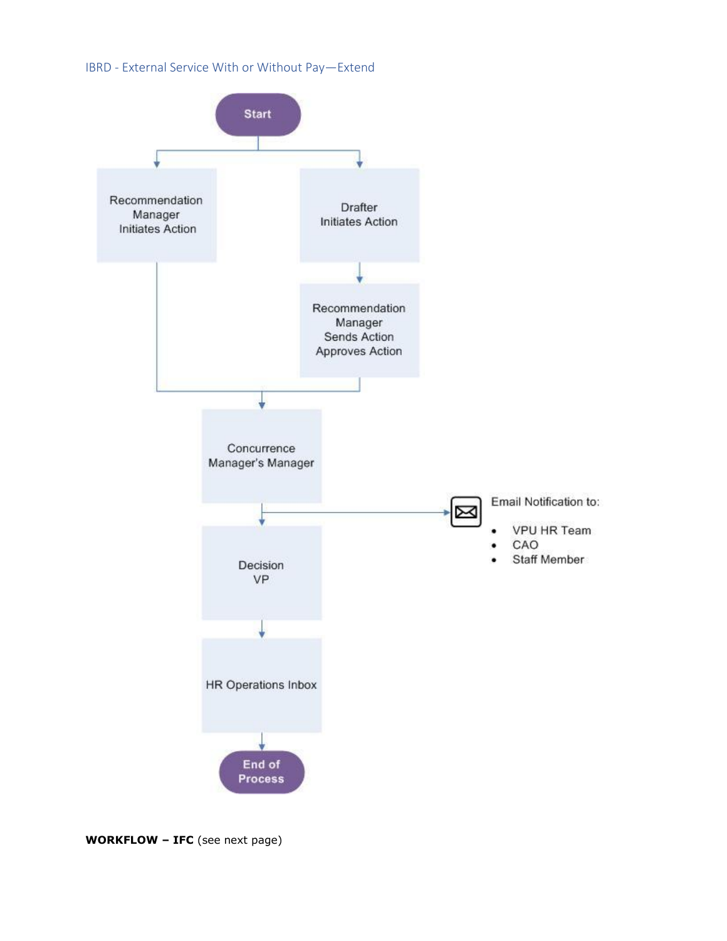## IBRD - External Service With or Without Pay—Extend



**WORKFLOW – IFC** (see next page)